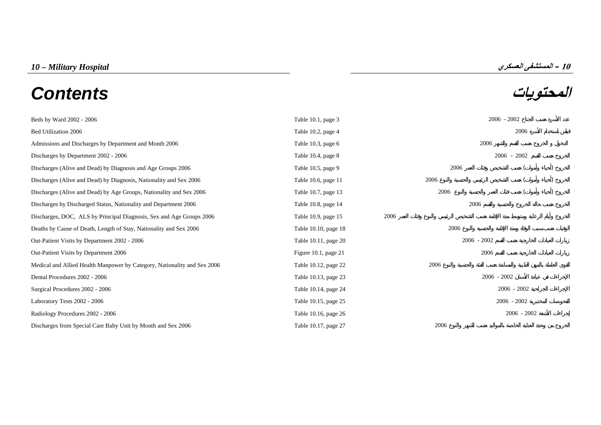# **المحتويات** *Contents*



| Beds by Ward 2002 - 2006                                                 | Table 10.1, page 3   |               | $2006 - 2002$ |  |
|--------------------------------------------------------------------------|----------------------|---------------|---------------|--|
| Bed Utilization 2006                                                     | Table 10.2, page 4   |               | 2006          |  |
| Admissions and Discharges by Department and Month 2006                   | Table 10.3, page 6   | 2006          |               |  |
| Discharges by Department 2002 - 2006                                     | Table 10.4, page 8   |               | $2006 - 2002$ |  |
| Discharges (Alive and Dead) by Diagnosis and Age Groups 2006             | Table 10.5, page 9   | 2006          |               |  |
| Discharges (Alive and Dead) by Diagnosis, Nationality and Sex 2006       | Table 10.6, page 11  | 2006          |               |  |
| Discharges (Alive and Dead) by Age Groups, Nationality and Sex 2006      | Table 10.7, page 13  | 2006          |               |  |
| Discharges by Discharged Status, Nationality and Department 2006         | Table 10.8, page 14  | 2006          |               |  |
| Discharges, DOC, ALS by Principal Diagnosis, Sex and Age Groups 2006     | Table 10.9, page 15  | 2006          |               |  |
| Deaths by Cause of Death, Length of Stay, Nationality and Sex 2006       | Table 10.10, page 18 | 2006          |               |  |
| Out-Patient Visits by Department 2002 - 2006                             | Table 10.11, page 20 | $2006 - 2002$ |               |  |
| Out-Patient Visits by Department 2006                                    | Figure 10.1, page 21 | 2006          |               |  |
| Medical and Allied Health Manpower by Category, Nationality and Sex 2006 | Table 10.12, page 22 | 2006          |               |  |
| Dental Procedures 2002 - 2006                                            | Table 10.13, page 23 |               | $2006 - 2002$ |  |
| Surgical Procedures 2002 - 2006                                          | Table 10.14, page 24 |               | $2006 - 2002$ |  |
| Laboratory Tests 2002 - 2006                                             | Table 10.15, page 25 |               | $2006 - 2002$ |  |
| Radiology Procedures 2002 - 2006                                         | Table 10.16, page 26 |               | $2006 - 2002$ |  |
| Discharges from Special Care Baby Unit by Month and Sex 2006             | Table 10.17, page 27 | 2006          |               |  |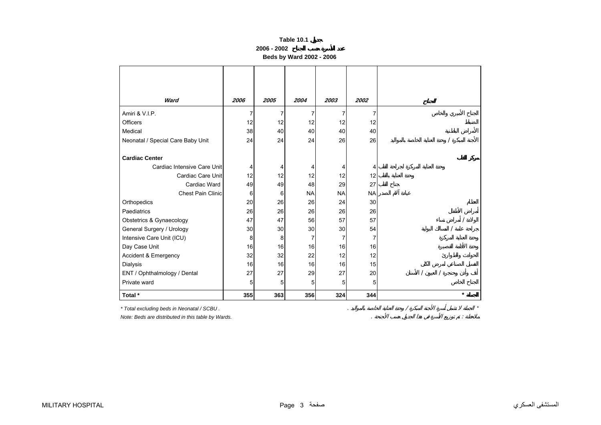**2006 - 2002**

**Beds by Ward 2002 - 2006** 

<span id="page-1-0"></span>

| Ward                              | 2006 | 2005 | 2004      | 2003      | 2002      |         |
|-----------------------------------|------|------|-----------|-----------|-----------|---------|
| Amiri & V.I.P.                    | 7    | 7    |           | 7         |           |         |
| Officers                          | 12   | 12   | 12        | 12        | 12        |         |
| Medical                           | 38   | 40   | 40        | 40        | 40        |         |
| Neonatal / Special Care Baby Unit | 24   | 24   | 24        | 26        | 26        |         |
|                                   |      |      |           |           |           |         |
| <b>Cardiac Center</b>             |      |      |           |           |           |         |
| Cardiac Intensive Care Unit       | 4    |      |           | 4         | 4         |         |
| Cardiac Care Unit                 | 12   | 12   | 12        | 12        | 12        |         |
| Cardiac Ward                      | 49   | 49   | 48        | 29        | 27        |         |
| <b>Chest Pain Clinic</b>          | 6    | 6    | <b>NA</b> | <b>NA</b> | <b>NA</b> |         |
| Orthopedics                       | 20   | 26   | 26        | 24        | 30        |         |
| Paediatrics                       | 26   | 26   | 26        | 26        | 26        |         |
| Obstetrics & Gynaecology          | 47   | 47   | 56        | 57        | 57        |         |
| General Surgery / Urology         | 30   | 30   | 30        | 30        | 54        |         |
| Intensive Care Unit (ICU)         | 8    | 8    |           |           |           |         |
| Day Case Unit                     | 16   | 16   | 16        | 16        | 16        |         |
| <b>Accident &amp; Emergency</b>   | 32   | 32   | 22        | 12        | 12        |         |
| Dialysis                          | 16   | 16   | 16        | 16        | 15        |         |
| ENT / Ophthalmology / Dental      | 27   | 27   | 29        | 27        | 20        |         |
| Private ward                      | 5    | 5    | 5         | 5         | 5         |         |
| Total *                           | 355  | 363  | 356       | 324       | 344       | $\star$ |

*\* Total excluding beds in Neonatal / SCBU .* . / \*

*Note: Beds are distributed in this table by Wards.* . :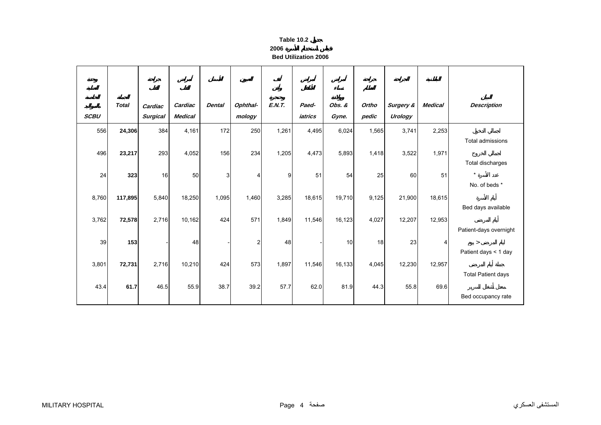| Table 10.2 |  |
|------------|--|
|            |  |

**2006 Bed Utilization 2006**

<span id="page-2-0"></span>

| <b>SCBU</b> | <b>Total</b> | Cardiac<br><b>Surgical</b> | Cardiac<br><b>Medical</b> | <b>Dental</b>  | Ophthal-<br>mology | E.N.T. | Paed-<br>iatrics | Obs. &<br>Gyne. | Ortho<br>pedic | <b>Surgery &amp;</b><br>Urology | <b>Medical</b> | <b>Description</b>                                       |
|-------------|--------------|----------------------------|---------------------------|----------------|--------------------|--------|------------------|-----------------|----------------|---------------------------------|----------------|----------------------------------------------------------|
| 556         | 24,306       | 384                        | 4,161                     | 172            | 250                | 1,261  | 4,495            | 6,024           | 1,565          | 3,741                           | 2,253          |                                                          |
| 496         | 23,217       | 293                        | 4,052                     | 156            | 234                | 1,205  | 4,473            | 5,893           | 1,418          | 3,522                           | 1,971          | Total admissions<br>Total discharges                     |
| 24          | 323          | 16                         | 50                        | 3 <sup>1</sup> | 4                  | 9      | 51               | 54              | 25             | 60                              | 51             | $\star$                                                  |
| 8,760       | 117,895      | 5,840                      | 18,250                    | 1,095          | 1,460              | 3,285  | 18,615           | 19,710          | 9,125          | 21,900                          | 18,615         | No. of beds *<br>Bed days available                      |
| 3,762       | 72,578       | 2,716                      | 10,162                    | 424            | 571                | 1,849  | 11,546           | 16,123          | 4,027          | 12,207                          | 12,953         |                                                          |
| 39          | 153          |                            | 48                        |                | $\overline{c}$     | 48     |                  | 10              | 18             | 23                              | 4              | Patient-days overnight<br>$\geq$<br>Patient days < 1 day |
| 3,801       | 72,731       | 2,716                      | 10,210                    | 424            | 573                | 1,897  | 11,546           | 16,133          | 4,045          | 12,230                          | 12,957         |                                                          |
| 43.4        | 61.7         | 46.5                       | 55.9                      | 38.7           | 39.2               | 57.7   | 62.0             | 81.9            | 44.3           | 55.8                            | 69.6           | <b>Total Patient days</b><br>Bed occupancy rate          |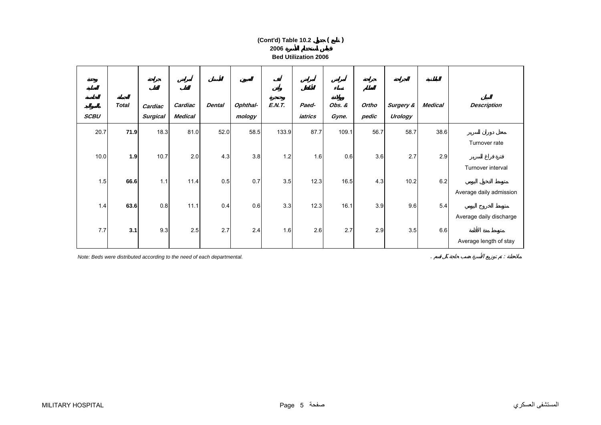## **2006 Bed Utilization 2006(Cont'd) Table 10.2 ( )**

| <b>SCBU</b> | <b>Total</b> | Cardiac<br><b>Surgical</b> | Cardiac<br><b>Medical</b> | <b>Dental</b> | Ophthal-<br>mology | <b>E.N.T.</b> | Paed-<br>iatrics | Obs. &<br>Gyne. | Ortho<br>pedic | Surgery &<br>Urology | <b>Medical</b> | <b>Description</b>      |
|-------------|--------------|----------------------------|---------------------------|---------------|--------------------|---------------|------------------|-----------------|----------------|----------------------|----------------|-------------------------|
| 20.7        | 71.9         | 18.3                       | 81.0                      | 52.0          | 58.5               | 133.9         | 87.7             | 109.1           | 56.7           | 58.7                 | 38.6           |                         |
|             |              |                            |                           |               |                    |               |                  |                 |                |                      |                | Turnover rate           |
| 10.0        | 1.9          | 10.7                       | 2.0                       | 4.3           | 3.8                | 1.2           | 1.6              | 0.6             | 3.6            | 2.7                  | 2.9            |                         |
|             |              |                            |                           |               |                    |               |                  |                 |                |                      |                | Turnover interval       |
| 1.5         | 66.6         | 1.1                        | 11.4                      | 0.5           | 0.7                | 3.5           | 12.3             | 16.5            | 4.3            | 10.2                 | 6.2            |                         |
|             |              |                            |                           |               |                    |               |                  |                 |                |                      |                | Average daily admission |
| 1.4         | 63.6         | 0.8                        | 11.1                      | 0.4           | 0.6                | 3.3           | 12.3             | 16.1            | 3.9            | 9.6                  | 5.4            |                         |
|             |              |                            |                           |               |                    |               |                  |                 |                |                      |                | Average daily discharge |
| 7.7         | 3.1          | 9.3                        | 2.5                       | 2.7           | 2.4                | 1.6           | 2.6              | 2.7             | 2.9            | 3.5                  | 6.6            |                         |
|             |              |                            |                           |               |                    |               |                  |                 |                |                      |                | Average length of stay  |

*Note: Beds were distributed according to the need of each departmental.* . :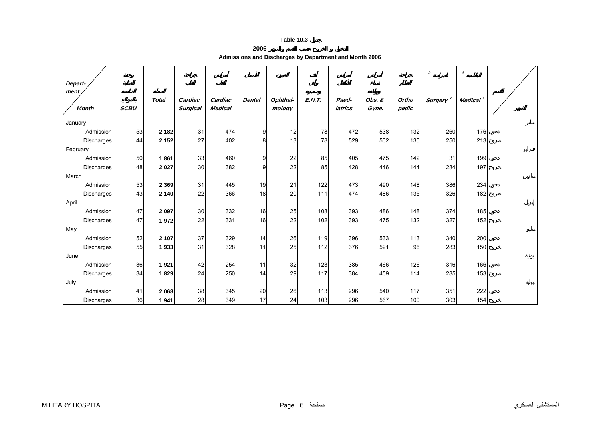<span id="page-4-0"></span>

|                   |             |              |                 |                |               |          |        |         |        |       | $\overline{\mathbf{2}}$ | $\mathbf{1}$         |  |
|-------------------|-------------|--------------|-----------------|----------------|---------------|----------|--------|---------|--------|-------|-------------------------|----------------------|--|
| Depart-           |             |              |                 |                |               |          |        |         |        |       |                         |                      |  |
| ment              |             | <b>Total</b> | Cardiac         | Cardiac        | <b>Dental</b> | Ophthal- | E.N.T. | Paed-   | Obs. & | Ortho | Surgery <sup>2</sup>    | Medical <sup>1</sup> |  |
| <b>Month</b>      | <b>SCBU</b> |              | <b>Surgical</b> | <b>Medical</b> |               | mology   |        | iatrics | Gyne.  | pedic |                         |                      |  |
| January           |             |              |                 |                |               |          |        |         |        |       |                         |                      |  |
| Admission         | 53          | 2,182        | 31              | 474            | 9             | 12       | 78     | 472     | 538    | 132   | 260                     | 176                  |  |
| Discharges        | 44          | 2,152        | 27              | 402            | 8             | 13       | 78     | 529     | 502    | 130   | 250                     | 213                  |  |
| February          |             |              |                 |                |               |          |        |         |        |       |                         |                      |  |
| Admission         | 50          | 1,861        | 33              | 460            | 9             | 22       | 85     | 405     | 475    | 142   | 31                      | 199                  |  |
| Discharges        | 48          | 2,027        | 30              | 382            | 9             | 22       | 85     | 428     | 446    | 144   | 284                     | 197                  |  |
| March             |             |              |                 |                |               |          |        |         |        |       |                         |                      |  |
| Admission         | 53          | 2,369        | 31              | 445            | 19            | 21       | 122    | 473     | 490    | 148   | 386                     | 234                  |  |
| Discharges        | 43          | 2,140        | 22              | 366            | 18            | 20       | 111    | 474     | 486    | 135   | 326                     | 182                  |  |
| April             |             |              |                 |                |               |          |        |         |        |       |                         |                      |  |
| Admission         | 47          | 2,097        | 30              | 332            | 16            | 25       | 108    | 393     | 486    | 148   | 374                     | 185                  |  |
| Discharges        | 47          | 1,972        | 22              | 331            | 16            | 22       | 102    | 393     | 475    | 132   | 327                     | 152                  |  |
| May               |             |              |                 |                |               |          |        |         |        |       |                         |                      |  |
| Admission         | 52          | 2,107        | 37              | 329            | 14            | 26       | 119    | 396     | 533    | 113   | 340                     | 200                  |  |
| <b>Discharges</b> | 55          | 1,933        | 31              | 328            | 11            | 25       | 112    | 376     | 521    | 96    | 283                     | 150                  |  |
| June              |             |              |                 |                |               |          |        |         |        |       |                         |                      |  |
| Admission         | 36          | 1,921        | 42              | 254            | 11            | 32       | 123    | 385     | 466    | 126   | 316                     | 166                  |  |
| Discharges        | 34          | 1,829        | 24              | 250            | 14            | 29       | 117    | 384     | 459    | 114   | 285                     | 153                  |  |
| July              |             |              |                 |                |               |          |        |         |        |       |                         |                      |  |
| Admission         | 41          | 2,068        | 38              | 345            | 20            | 26       | 113    | 296     | 540    | 117   | 351                     | 222                  |  |
| <b>Discharges</b> | 36          | 1,941        | 28              | 349            | 17            | 24       | 103    | 296     | 567    | 100   | 303                     | 154                  |  |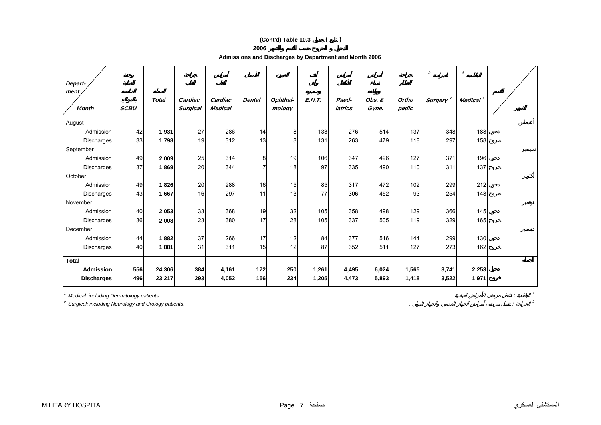# **(Cont'd) Table 10.3 ( )**

**2006**

**Admissions and Discharges by Department and Month 2006** 

| Depart-           |             |              |                 |                |               |          |               |         |        |       | $\overline{2}$       | $\mathbf{1}$         |  |
|-------------------|-------------|--------------|-----------------|----------------|---------------|----------|---------------|---------|--------|-------|----------------------|----------------------|--|
| ment              |             |              |                 |                |               |          |               |         |        |       |                      |                      |  |
|                   |             | <b>Total</b> | Cardiac         | Cardiac        | <b>Dental</b> | Ophthal- | <b>E.N.T.</b> | Paed-   | Obs. & | Ortho | Surgery <sup>2</sup> | Medical <sup>1</sup> |  |
| <b>Month</b>      | <b>SCBU</b> |              | <b>Surgical</b> | <b>Medical</b> |               | mology   |               | iatrics | Gyne.  | pedic |                      |                      |  |
| August            |             |              |                 |                |               |          |               |         |        |       |                      |                      |  |
| Admission         | 42          | 1,931        | 27              | 286            | 14            | 8        | 133           | 276     | 514    | 137   | 348                  | 188                  |  |
| Discharges        | 33          | 1,798        | 19              | 312            | 13            | 8        | 131           | 263     | 479    | 118   | 297                  | 158                  |  |
| September         |             |              |                 |                |               |          |               |         |        |       |                      |                      |  |
| Admission         | 49          | 2,009        | 25              | 314            | 8             | 19       | 106           | 347     | 496    | 127   | 371                  | 196                  |  |
| <b>Discharges</b> | 37          | 1,869        | 20              | 344            | 7             | 18       | 97            | 335     | 490    | 110   | 311                  | 137                  |  |
| October           |             |              |                 |                |               |          |               |         |        |       |                      |                      |  |
| Admission         | 49          | 1,826        | 20              | 288            | 16            | 15       | 85            | 317     | 472    | 102   | 299                  | 212                  |  |
| Discharges        | 43          | 1,667        | 16              | 297            | 11            | 13       | 77            | 306     | 452    | 93    | 254                  | 148                  |  |
| November          |             |              |                 |                |               |          |               |         |        |       |                      |                      |  |
| Admission         | 40          | 2,053        | 33              | 368            | 19            | 32       | 105           | 358     | 498    | 129   | 366                  | 145                  |  |
| Discharges        | 36          | 2,008        | 23              | 380            | 17            | 28       | 105           | 337     | 505    | 119   | 329                  | 165                  |  |
| December          |             |              |                 |                |               |          |               |         |        |       |                      |                      |  |
| Admission         | 44          | 1,882        | 37              | 266            | 17            | 12       | 84            | 377     | 516    | 144   | 299                  | 130                  |  |
| <b>Discharges</b> | 40          | 1,881        | 31              | 311            | 15            | 12       | 87            | 352     | 511    | 127   | 273                  | 162                  |  |
| <b>Total</b>      |             |              |                 |                |               |          |               |         |        |       |                      |                      |  |
| <b>Admission</b>  | 556         | 24,306       | 384             | 4,161          | 172           | 250      | 1,261         | 4,495   | 6,024  | 1,565 | 3,741                | 2,253                |  |
| <b>Discharges</b> | 496         | 23,217       | 293             | 4,052          | 156           | 234      | 1,205         | 4,473   | 5,893  | 1,418 | 3,522                | 1,971                |  |

*1 Medical: including Dermatology patients.* . : *<sup>1</sup>*

*2 Surgical: including Neurology and Urology patients.* . : *<sup>2</sup>*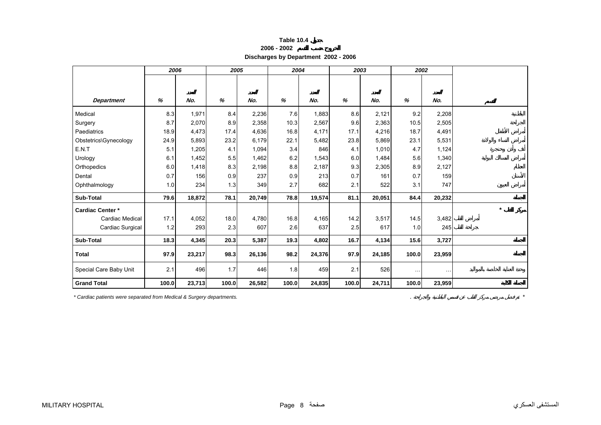<span id="page-6-0"></span>

|                         | 2006  |        |       | 2005   |       | 2004   | 2003  |        | 2002  |               |
|-------------------------|-------|--------|-------|--------|-------|--------|-------|--------|-------|---------------|
| <b>Department</b>       | %     | No.    | %     | No.    | %     | No.    | %     | No.    | %     | No.           |
| Medical                 | 8.3   | 1,971  | 8.4   | 2,236  | 7.6   | 1,883  | 8.6   | 2,121  | 9.2   | 2,208         |
| Surgery                 | 8.7   | 2,070  | 8.9   | 2,358  | 10.3  | 2,567  | 9.6   | 2,363  | 10.5  | 2,505         |
| Paediatrics             | 18.9  | 4,473  | 17.4  | 4,636  | 16.8  | 4,171  | 17.1  | 4,216  | 18.7  | 4,491         |
| Obstetrics\Gynecology   | 24.9  | 5,893  | 23.2  | 6,179  | 22.1  | 5,482  | 23.8  | 5,869  | 23.1  | 5,531         |
| E.N.T                   | 5.1   | 1,205  | 4.1   | 1,094  | 3.4   | 846    | 4.1   | 1,010  | 4.7   | 1,124         |
| Urology                 | 6.1   | 1,452  | 5.5   | 1,462  | 6.2   | 1,543  | 6.0   | 1,484  | 5.6   | 1,340         |
| Orthopedics             | 6.0   | 1,418  | 8.3   | 2,198  | 8.8   | 2,187  | 9.3   | 2,305  | 8.9   | 2,127         |
| Dental                  | 0.7   | 156    | 0.9   | 237    | 0.9   | 213    | 0.7   | 161    | 0.7   | 159           |
| Ophthalmology           | 1.0   | 234    | 1.3   | 349    | 2.7   | 682    | 2.1   | 522    | 3.1   | 747           |
| Sub-Total               | 79.6  | 18,872 | 78.1  | 20,749 | 78.8  | 19,574 | 81.1  | 20,051 | 84.4  | 20,232        |
| <b>Cardiac Center *</b> |       |        |       |        |       |        |       |        |       |               |
| Cardiac Medical         | 17.1  | 4,052  | 18.0  | 4,780  | 16.8  | 4,165  | 14.2  | 3,517  | 14.5  | 3,482         |
| Cardiac Surgical        | 1.2   | 293    | 2.3   | 607    | 2.6   | 637    | 2.5   | 617    | 1.0   | 245           |
| Sub-Total               | 18.3  | 4,345  | 20.3  | 5,387  | 19.3  | 4,802  | 16.7  | 4,134  | 15.6  | 3,727         |
| <b>Total</b>            | 97.9  | 23,217 | 98.3  | 26,136 | 98.2  | 24,376 | 97.9  | 24,185 | 100.0 | 23,959        |
| Special Care Baby Unit  | 2.1   | 496    | 1.7   | 446    | 1.8   | 459    | 2.1   | 526    | .     | $\sim$ $\sim$ |
| <b>Grand Total</b>      | 100.0 | 23,713 | 100.0 | 26,582 | 100.0 | 24,835 | 100.0 | 24,711 | 100.0 | 23,959        |

**Table 10.4 2006 - 2002Discharges by Department 2002 - 2006**

*\* Cardiac patients were separated from Medical & Surgery departments.* . *\**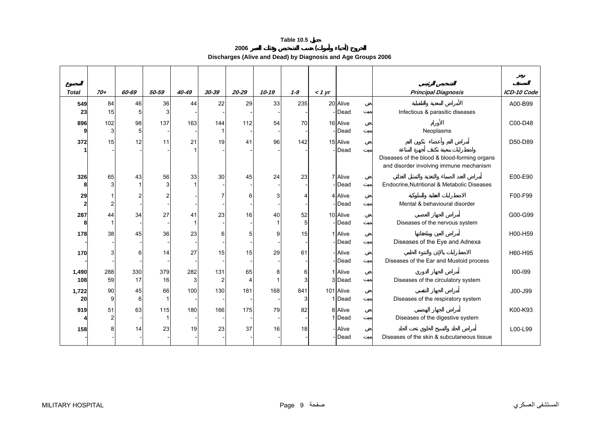**2006 ( ) Discharges (Alive and Dead) by Diagnosis and Age Groups 2006** 

<span id="page-7-0"></span>

| <b>Total</b> | $70+$     | 60-69          | 50-59          | 40-49    | 30-39                 | $20 - 29$ | $10 - 19$ | $1 - 9$  | $<$ 1 yr |                            | <b>Principal Diagnosis</b>                                                              | ICD-10 Code |
|--------------|-----------|----------------|----------------|----------|-----------------------|-----------|-----------|----------|----------|----------------------------|-----------------------------------------------------------------------------------------|-------------|
| 549<br>23    | 84<br>15  | 46<br>5        | 36<br>3        | 44       | 22                    | 29        | 33        | 235      |          | 20 Alive<br>Dead           | Infectious & parasitic diseases                                                         | A00-B99     |
| 896          | 102       | 98             | 137            | 163      | 144                   | 112       | 54        | 70       |          | 16 Alive                   |                                                                                         | C00-D48     |
| 9            | 3         | 5              |                |          |                       |           |           |          |          | Dead                       | Neoplasms                                                                               |             |
| 372          | 15        | 12             | 11             | 21       | 19                    | 41        | 96        | 142      |          | 15 Alive                   |                                                                                         | D50-D89     |
|              |           |                |                |          |                       |           |           |          |          | Dead                       | Diseases of the blood & blood-forming organs<br>and disorder involving immune mechanism |             |
| 326<br>Я     | 65        | 43<br>1        | 56<br>3        | 33       | 30                    | 45        | 24        | 23       |          | 7 Alive<br>- <b>I</b> Dead | Endocrine, Nutritional & Metabolic Diseases                                             | E00-E90     |
| 29<br>2      |           | $\overline{c}$ | $\mathfrak{p}$ |          |                       | 6         |           |          |          | 4 Alive<br>Dead            | Mental & behavioural disorder                                                           | F00-F99     |
| 287<br>Я     | 44        | 34             | 27             | 41       | 23                    | 16        | 40        | 52<br>5  |          | 10 Alive<br>Dead           | Diseases of the nervous system                                                          | G00-G99     |
| 178          | 38        | 45             | 36             | 23       | 6                     | 5         | g         | 15       |          | 1 Alive<br>-Dead           | Diseases of the Eye and Adnexa                                                          | H00-H59     |
| 170          |           | 6              | 14             | 27       | 15                    | 15        | 29        | 61       |          | - Alive<br>Dead            | Diseases of the Ear and Mustoid process                                                 | H60-H95     |
| 1,490<br>108 | 288<br>59 | 330<br>17      | 379<br>16      | 282<br>3 | 131<br>$\overline{2}$ | 65        | 8         | 6<br>3   |          | 1 Alive<br>3 Dead          | Diseases of the circulatory system                                                      | $100 - 199$ |
| 1,722<br>20  | 90<br>9   | 45<br>6        | 66             | 100      | 130                   | 181       | 168       | 841<br>3 |          | 101 Alive<br>I Dead        | Diseases of the respiratory system                                                      | J00-J99     |
| 919          | 51        | 63             | 115            | 180      | 166                   | 175       | 79        | 82       |          | 8 Alive<br>I Dead          | Diseases of the digestive system                                                        | K00-K93     |
| 158          |           | 14             | 23             | 19       | 23                    | 37        | 16        | 18       |          | <b>Alive</b><br>Dead       | Diseases of the skin & subcutaneous tissue                                              | L00-L99     |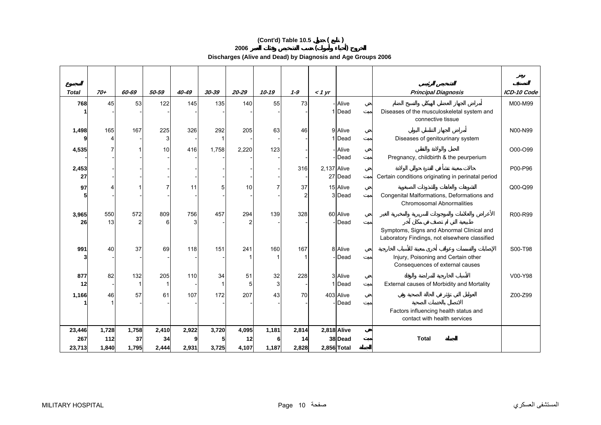# **(Cont'd) Table 10.5 ( )**

**2006 ( )** 

**Discharges (Alive and Dead) by Diagnosis and Age Groups 2006** 

| <b>Total</b>            | $70+$                 | 60-69                | 50-59                | 40-49          | $30 - 39$      | $20 - 29$            | $10 - 19$      | $1 - 9$              | $<$ 1 yr    |                                       | <b>Principal Diagnosis</b>                                                                                              | ICD-10 Code |
|-------------------------|-----------------------|----------------------|----------------------|----------------|----------------|----------------------|----------------|----------------------|-------------|---------------------------------------|-------------------------------------------------------------------------------------------------------------------------|-------------|
| 768                     | 45                    | 53                   | 122                  | 145            | 135            | 140                  | 55             | 73                   |             | - Alive<br>1 Dead                     | Diseases of the musculoskeletal system and<br>connective tissue                                                         | M00-M99     |
| 1,498                   | 165                   | 167                  | 225<br>3             | 326            | 292            | 205                  | 63             | 46                   |             | 9 Alive<br>1 Dead                     | Diseases of genitourinary system                                                                                        | N00-N99     |
| 4,535                   |                       |                      | 10                   | 416            | 1,758          | 2,220                | 123            |                      |             | - Alive<br>-Dead                      | Pregnancy, childbirth & the peurperium                                                                                  | O00-O99     |
| 2,453<br>27             |                       |                      |                      |                |                |                      |                | 316                  | 2,137 Alive | 27 Dead                               | Certain conditions originating in perinatal period                                                                      | P00-P96     |
| 97                      |                       |                      |                      | 11             |                | 10                   |                | 37<br>$\overline{2}$ |             | 15 Alive<br>3 Dead                    | Congenital Malformations, Deformations and<br><b>Chromosomal Abnormalities</b>                                          | Q00-Q99     |
| 3,965<br>26             | 550<br>13             | 572                  | 809<br>6             | 756<br>3       | 457            | 294                  | 139            | 328                  |             | 60 Alive<br>- Dead                    | Symptoms, Signs and Abnormal Clinical and                                                                               | R00-R99     |
| 991                     | 40                    | 37                   | 69                   | 118            | 151            | 241                  | 160            | 167                  |             | 8 Alive<br>- Dead                     | Laboratory Findings, not elsewhere classified<br>Injury, Poisoning and Certain other<br>Consequences of external causes | S00-T98     |
| 877<br>12               | 82                    | 132<br>-1            | 205                  | 110            | 34             | 51<br>5              | 32<br>3        | 228                  |             | 3 Alive<br>1 Dead                     | External causes of Morbidity and Mortality                                                                              | V00-Y98     |
| 1,166                   | 46                    | 57                   | 61                   | 107            | 172            | 207                  | 43             | 70                   |             | 403 Alive<br>-Dead                    |                                                                                                                         | Z00-Z99     |
|                         |                       |                      |                      |                |                |                      |                |                      |             |                                       | Factors influencing health status and<br>contact with health services                                                   |             |
| 23,446<br>267<br>23,713 | 1,728<br>112<br>1,840 | 1,758<br>37<br>1,795 | 2,410<br>34<br>2,444 | 2,922<br>2,931 | 3,720<br>3,725 | 4,095<br>12<br>4,107 | 1,181<br>1,187 | 2,814<br>14<br>2,828 |             | 2,818 Alive<br>38 Dead<br>2,856 Total | <b>Total</b>                                                                                                            |             |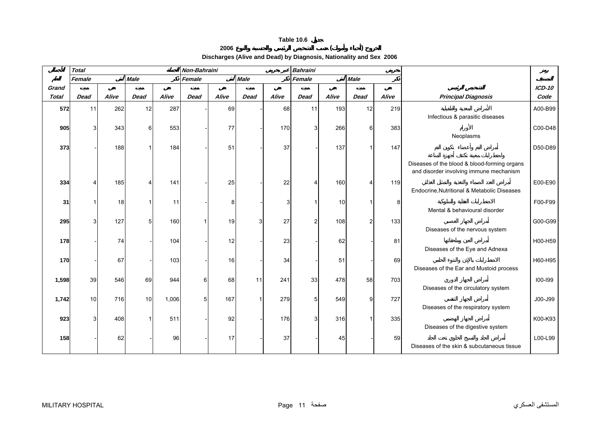# **2006 ( )**

**Discharges (Alive and Dead) by Diagnosis, Nationality and Sex 2006** 

<span id="page-9-0"></span>

|              | <b>Total</b> |       |             |       | Non-Bahraini |       |              | <b>Bahraini</b> |                |       |             |       |                                                                                         |          |
|--------------|--------------|-------|-------------|-------|--------------|-------|--------------|-----------------|----------------|-------|-------------|-------|-----------------------------------------------------------------------------------------|----------|
|              | Female       |       | <b>Male</b> |       | Female       |       | <b>Male</b>  |                 | Female         |       | <b>Male</b> |       |                                                                                         |          |
| Grand        |              |       |             |       |              |       |              |                 |                |       |             |       |                                                                                         | $ICD-10$ |
| <b>Total</b> | <b>Dead</b>  | Alive | <b>Dead</b> | Alive | <b>Dead</b>  | Alive | <b>Dead</b>  | Alive           | <b>Dead</b>    | Alive | <b>Dead</b> | Alive | <b>Principal Diagnosis</b>                                                              | Code     |
| 572          | 11           | 262   | 12          | 287   |              | 69    |              | 68              | 11             | 193   | 12          | 219   | Infectious & parasitic diseases                                                         | A00-B99  |
| 905          | 3            | 343   | $6 \mid$    | 553   |              | 77    |              | 170             | 3              | 266   | 6           | 383   | Neoplasms                                                                               | C00-D48  |
| 373          |              | 188   |             | 184   |              | 51    |              | 37              |                | 137   |             | 147   |                                                                                         | D50-D89  |
|              |              |       |             |       |              |       |              |                 |                |       |             |       | Diseases of the blood & blood-forming organs<br>and disorder involving immune mechanism |          |
| 334          |              | 185   |             | 141   |              | 25    |              | 22              |                | 160   |             | 119   | Endocrine, Nutritional & Metabolic Diseases                                             | E00-E90  |
| 31           |              | 18    |             | 11    |              |       |              |                 |                | 10    |             | 8     | Mental & behavioural disorder                                                           | F00-F99  |
| 295          | 3            | 127   | 5           | 160   |              | 19    | $\mathbf{3}$ | 27              | $\mathcal{P}$  | 108   | 2           | 133   | Diseases of the nervous system                                                          | G00-G99  |
| 178          |              | 74    |             | 104   |              | 12    |              | 23              |                | 62    |             | 81    | Diseases of the Eye and Adnexa                                                          | H00-H59  |
| 170          |              | 67    |             | 103   |              | 16    |              | 34              |                | 51    |             | 69    | Diseases of the Ear and Mustoid process                                                 | H60-H95  |
| 1,598        | 39           | 546   | 69          | 944   |              | 68    | 11           | 241             | 33             | 478   | 58          | 703   | Diseases of the circulatory system                                                      | 100-199  |
| 1,742        | 10           | 716   | 10          | 1,006 | 5            | 167   |              | 279             | 5 <sup>1</sup> | 549   | 9           | 727   | Diseases of the respiratory system                                                      | J00-J99  |
| 923          |              | 408   |             | 511   |              | 92    |              | 176             | $\mathbf{3}$   | 316   |             | 335   | Diseases of the digestive system                                                        | K00-K93  |
| 158          |              | 62    |             | 96    |              | 17    |              | 37              |                | 45    |             | 59    | Diseases of the skin & subcutaneous tissue                                              | L00-L99  |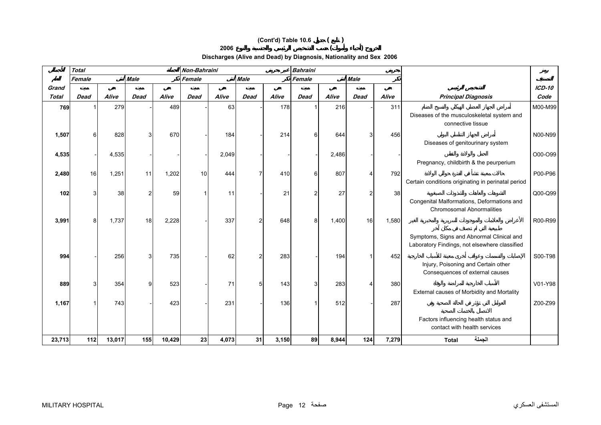# **(Cont'd) Table 10.6 ( ) 2006 ( )**

# **Discharges (Alive and Dead) by Diagnosis, Nationality and Sex 2006**

|              | <b>Total</b> |        |             |        | Non-Bahraini |       |             |       | <b>Bahraini</b> |       |                |       |                                                                                            |               |
|--------------|--------------|--------|-------------|--------|--------------|-------|-------------|-------|-----------------|-------|----------------|-------|--------------------------------------------------------------------------------------------|---------------|
|              | Female       |        | <b>Male</b> |        | Female       |       | <b>Male</b> |       | Female          |       | <b>Male</b>    |       |                                                                                            |               |
| Grand        |              |        |             |        |              |       |             |       |                 |       |                |       |                                                                                            | <b>ICD-10</b> |
| <b>Total</b> | <b>Dead</b>  | Alive  | <b>Dead</b> | Alive  | <b>Dead</b>  | Alive | Dead        | Alive | <b>Dead</b>     | Alive | <b>Dead</b>    | Alive | <b>Principal Diagnosis</b>                                                                 | Code          |
| 769          |              | 279    |             | 489    |              | 63    |             | 178   |                 | 216   |                | 311   | Diseases of the musculoskeletal system and<br>connective tissue                            | M00-M99       |
| 1,507        | 6            | 828    |             | 670    |              | 184   |             | 214   | 6               | 644   | 3              | 456   | Diseases of genitourinary system                                                           | N00-N99       |
| 4,535        |              | 4,535  |             |        |              | 2,049 |             |       |                 | 2,486 |                |       | Pregnancy, childbirth & the peurperium                                                     | O00-O99       |
| 2,480        | 16           | 1,251  | 11          | 1,202  | 10           | 444   |             | 410   | 6               | 807   | Δ              | 792   | Certain conditions originating in perinatal period                                         | P00-P96       |
| 102          |              | 38     | 2           | 59     |              | 11    |             | 21    | $\overline{c}$  | 27    | $\overline{2}$ | 38    | Congenital Malformations, Deformations and<br><b>Chromosomal Abnormalities</b>             | Q00-Q99       |
| 3,991        | 8            | 1,737  | 18          | 2,228  |              | 337   |             | 648   | 8               | 1,400 | 16             | 1,580 | Symptoms, Signs and Abnormal Clinical and<br>Laboratory Findings, not elsewhere classified | R00-R99       |
| 994          |              | 256    |             | 735    |              | 62    |             | 283   |                 | 194   |                | 452   | Injury, Poisoning and Certain other<br>Consequences of external causes                     | S00-T98       |
| 889          |              | 354    | g           | 523    |              | 71    | 51          | 143   | 3               | 283   |                | 380   | External causes of Morbidity and Mortality                                                 | V01-Y98       |
| 1,167        |              | 743    |             | 423    |              | 231   |             | 136   |                 | 512   |                | 287   | Factors influencing health status and                                                      | Z00-Z99       |
| 23,713       | $112$        | 13,017 | 155         | 10,429 | 23           | 4,073 | 31          | 3,150 | 89I             | 8,944 | 124            | 7,279 | contact with health services<br>الجملة<br><b>Total</b>                                     |               |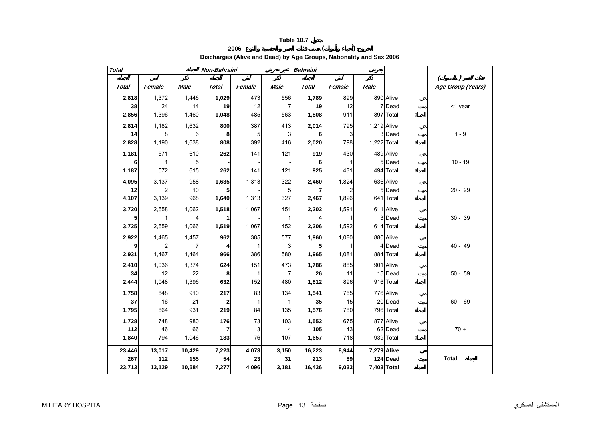

### **2006 ( ) Discharges (Alive and Dead) by Age Groups, Nationality and Sex 2006**

<span id="page-11-0"></span>

| <b>Total</b> |                |             | Non-Bahraini            |        |                | <b>Bahraini</b> |        |             |           |                              |
|--------------|----------------|-------------|-------------------------|--------|----------------|-----------------|--------|-------------|-----------|------------------------------|
|              |                |             |                         |        |                |                 |        |             |           | $\left( \right)$<br>$\left($ |
| <b>Total</b> | Female         | <b>Male</b> | <b>Total</b>            | Female | <b>Male</b>    | <b>Total</b>    | Female | <b>Male</b> |           | Age Group (Years)            |
| 2,818        | 1,372          | 1,446       | 1,029                   | 473    | 556            | 1,789           | 899    |             | 890 Alive |                              |
| 38           | 24             | 14          | 19                      | 12     | 7              | 19              | 12     |             | 7 Dead    | <1 year                      |
| 2,856        | 1,396          | 1,460       | 1,048                   | 485    | 563            | 1,808           | 911    |             | 897 Total |                              |
| 2,814        | 1,182          | 1,632       | 800                     | 387    | 413            | 2,014           | 795    | 1,219 Alive |           |                              |
| 14           | 8              | 6           | 8                       | 5      | 3              | 6               | 3      |             | 3 Dead    | $1 - 9$                      |
| 2,828        | 1,190          | 1,638       | 808                     | 392    | 416            | 2,020           | 798    | 1,222 Total |           |                              |
| 1,181        | 571            | 610         | 262                     | 141    | 121            | 919             | 430    |             | 489 Alive |                              |
| 6            | 1              | 5           |                         |        |                | 6               |        |             | 5 Dead    | $10 - 19$                    |
| 1,187        | 572            | 615         | 262                     | 141    | 121            | 925             | 431    |             | 494 Total |                              |
| 4,095        | 3,137          | 958         | 1,635                   | 1,313  | 322            | 2,460           | 1,824  |             | 636 Alive |                              |
| 12           | $\overline{c}$ | 10          | 5                       |        | 5              | 7               | 2      |             | 5 Dead    | $20 - 29$                    |
| 4,107        | 3,139          | 968         | 1,640                   | 1,313  | 327            | 2,467           | 1,826  |             | 641 Total |                              |
| 3,720        | 2,658          | 1,062       | 1,518                   | 1,067  | 451            | 2,202           | 1,591  |             | 611 Alive |                              |
| 5            |                | 4           | 1                       |        | $\mathbf{1}$   | 4               |        |             | 3 Dead    | $30 - 39$                    |
| 3,725        | 2,659          | 1,066       | 1,519                   | 1,067  | 452            | 2,206           | 1,592  |             | 614 Total |                              |
| 2,922        | 1,465          | 1,457       | 962                     | 385    | 577            | 1,960           | 1,080  |             | 880 Alive |                              |
| 9            | 2              | 7           | 4                       | 1      | 3              | 5               |        |             | 4 Dead    | $40 - 49$                    |
| 2,931        | 1,467          | 1,464       | 966                     | 386    | 580            | 1,965           | 1,081  |             | 884 Total |                              |
| 2,410        | 1,036          | 1,374       | 624                     | 151    | 473            | 1,786           | 885    |             | 901 Alive |                              |
| 34           | 12             | 22          | 8                       | 1      | $\overline{7}$ | 26              | 11     |             | 15 Dead   | $50 - 59$                    |
| 2,444        | 1,048          | 1,396       | 632                     | 152    | 480            | 1,812           | 896    |             | 916 Total |                              |
| 1,758        | 848            | 910         | 217                     | 83     | 134            | 1,541           | 765    |             | 776 Alive |                              |
| 37           | 16             | 21          | 2                       | 1      | 1              | 35              | 15     |             | 20 Dead   | $60 - 69$                    |
| 1,795        | 864            | 931         | 219                     | 84     | 135            | 1,576           | 780    |             | 796 Total |                              |
| 1,728        | 748            | 980         | 176                     | 73     | 103            | 1,552           | 675    |             | 877 Alive |                              |
| 112          | 46             | 66          | $\overline{\mathbf{r}}$ | 3      | 4              | 105             | 43     |             | 62 Dead   | $70 +$                       |
| 1,840        | 794            | 1,046       | 183                     | 76     | 107            | 1,657           | 718    |             | 939 Total |                              |
| 23,446       | 13,017         | 10,429      | 7,223                   | 4,073  | 3,150          | 16,223          | 8,944  | 7,279 Alive |           |                              |
| 267          | 112            | 155         | 54                      | 23     | 31             | 213             | 89     |             | 124 Dead  | <b>Total</b>                 |
| 23,713       | 13,129         | 10,584      | 7,277                   | 4,096  | 3,181          | 16,436          | 9,033  | 7,403 Total |           |                              |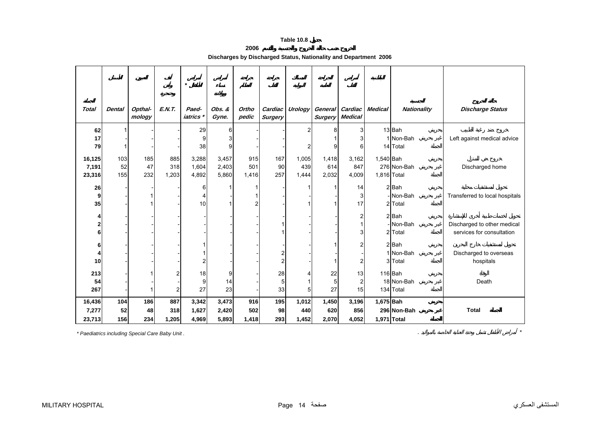# **2006**

| Discharges by Discharged Status, Nationality and Department 2006 |  |  |
|------------------------------------------------------------------|--|--|
|------------------------------------------------------------------|--|--|

<span id="page-12-0"></span>

|                           |                  |                   |                     | $\star$                 |                         |                     |                           |                       |                       |                                   |                          |                                            |                                                          |
|---------------------------|------------------|-------------------|---------------------|-------------------------|-------------------------|---------------------|---------------------------|-----------------------|-----------------------|-----------------------------------|--------------------------|--------------------------------------------|----------------------------------------------------------|
| <b>Total</b>              | <b>Dental</b>    | Opthal-<br>mology | E.N.T.              | Paed-<br>iatrics        | Obs. &<br>Gyne.         | Ortho<br>pedic      | Cardiac<br><b>Surgery</b> | Urology               | <b>Surgery</b>        | General Cardiac<br><b>Medical</b> | <b>Medical</b>           | <b>Nationality</b>                         | <b>Discharge Status</b>                                  |
| 62<br>17<br>79            |                  |                   |                     | 29<br>9<br>38           | 6<br>9                  |                     |                           | 2                     |                       | 3<br>6                            |                          | 13 <sup>Bah</sup><br>1 Non-Bah<br>14 Total | Left against medical advice                              |
| 16,125<br>7,191<br>23,316 | 103<br>52<br>155 | 185<br>47<br>232  | 885<br>318<br>1,203 | 3,288<br>1,604<br>4,892 | 3,457<br>2,403<br>5,860 | 915<br>501<br>1,416 | 167<br>90<br>257          | 1,005<br>439<br>1,444 | 1,418<br>614<br>2,032 | 3,162<br>847<br>4,009             | 1,540 Bah<br>1,816 Total | 276 Non-Bah                                | Discharged home                                          |
| 26<br>9<br>35             |                  |                   |                     | 6<br>10                 |                         |                     |                           |                       |                       | 14<br>3<br>17                     |                          | $2$ Bah<br>- Non-Bah<br>2 Total            | Transferred to local hospitals                           |
| 4<br>2<br>6               |                  |                   |                     |                         |                         |                     |                           |                       |                       | 2<br>3                            |                          | $2$ $Bah$<br>- Non-Bah<br>2 Total          | Discharged to other medical<br>services for consultation |
| 6<br>4<br>10              |                  |                   |                     | 2                       |                         |                     | 2<br>$\overline{2}$       |                       |                       | 2<br>$\overline{2}$               |                          | $2$ Bah<br>1 Non-Bah<br>3 Total            | Discharged to overseas<br>hospitals                      |
| 213<br>54<br>267          |                  |                   | 2<br>$\overline{c}$ | 18<br>9<br>27           | 9<br>14<br>23           |                     | 28<br>5<br>33             | 5                     | 22<br>27              | 13<br>$\overline{2}$<br>15        |                          | 116 Bah<br>18 Non-Bah<br>134 Total         | Death                                                    |
| 16,436<br>7,277<br>23,713 | 104<br>52<br>156 | 186<br>48<br>234  | 887<br>318<br>1,205 | 3,342<br>1,627<br>4,969 | 3,473<br>2,420<br>5,893 | 916<br>502<br>1,418 | 195<br>98<br>293          | 1,012<br>440<br>1,452 | 1,450<br>620<br>2,070 | 3,196<br>856<br>4,052             | 1,675 Bah<br>1,971 Total | 296 Non-Bah                                | <b>Total</b>                                             |

*\* Paediatrics including Special Care Baby Unit .* . *\**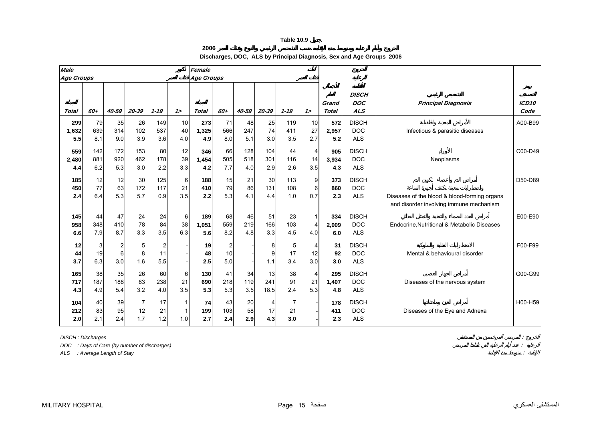**2006**

**Discharges, DOC, ALS by Principal Diagnosis, Sex and Age Groups 2006**

<span id="page-13-0"></span>

| <b>Male</b>         |                   |                            |                   |                             |                 | Female              |                             |                   |                   |                   |                             |                     |                                          |                                                                                         |                           |
|---------------------|-------------------|----------------------------|-------------------|-----------------------------|-----------------|---------------------|-----------------------------|-------------------|-------------------|-------------------|-----------------------------|---------------------|------------------------------------------|-----------------------------------------------------------------------------------------|---------------------------|
| <b>Age Groups</b>   |                   |                            |                   |                             |                 | <b>Age Groups</b>   |                             |                   |                   |                   |                             |                     |                                          |                                                                                         |                           |
| Total               | 60+               | 40-59                      | 20-39             | $1 - 19$                    | 12              | <b>Total</b>        | 60+                         | 40-59             | 20-39             | $1 - 19$          | $1\geq$                     | Grand<br>Total      | <b>DISCH</b><br><b>DOC</b><br><b>ALS</b> | <b>Principal Diagnosis</b>                                                              | ICD <sub>10</sub><br>Code |
| 299<br>1,632<br>5.5 | 79<br>639<br>8.1  | 35<br>314<br>9.0           | 26<br>102<br>3.9  | 149<br>537<br>3.6           | 10<br>40<br>4.0 | 273<br>1,325<br>4.9 | 71<br>566<br>8.0            | 48<br>247<br>5.1  | 25<br>74<br>3.0   | 119<br>411<br>3.5 | 10<br>27<br>2.7             | 572<br>2,957<br>5.2 | <b>DISCH</b><br><b>DOC</b><br><b>ALS</b> | Infectious & parasitic diseases                                                         | A00-B99                   |
| 559<br>2,480<br>4.4 | 142<br>881<br>6.2 | 172<br>920<br>5.3          | 153<br>462<br>3.0 | 80<br>178<br>2.2            | 12<br>39<br>3.3 | 346<br>1,454<br>4.2 | 66<br>505<br>7.7            | 128<br>518<br>4.0 | 104<br>301<br>2.9 | 44<br>116<br>2.6  | 4<br>14<br>3.5              | 905<br>3.934<br>4.3 | <b>DISCH</b><br><b>DOC</b><br><b>ALS</b> | Neoplasms                                                                               | C00-D49                   |
| 185<br>450<br>2.4   | 12<br>77<br>6.4   | 12<br>63<br>5.3            | 30<br>172<br>5.7  | 125<br>117<br>0.9           | 6<br>21<br>3.5  | 188<br>410<br>2.2   | 15<br>79<br>5.3             | 21<br>86<br>4.1   | 30<br>131<br>4.4  | 113<br>108<br>1.0 | 9<br>6<br>0.7               | 373<br>860<br>2.3   | <b>DISCH</b><br><b>DOC</b><br><b>ALS</b> | Diseases of the blood & blood-forming organs<br>and disorder involving immune mechanism | D50-D89                   |
| 145<br>958<br>6.6   | 44<br>348<br>7.9  | 47<br>410<br>8.7           | 24<br>78<br>3.3   | 24<br>84<br>3.5             | 6<br>38<br>6.3  | 189<br>1.051<br>5.6 | 68<br>559<br>8.2            | 46<br>219<br>4.8  | 51<br>166<br>3.3  | 23<br>103<br>4.5  | 4<br>4.0                    | 334<br>2.009<br>6.0 | <b>DISCH</b><br><b>DOC</b><br><b>ALS</b> | Endocrine, Nutritional & Metabolic Diseases                                             | E00-E90                   |
| 12<br>44<br>3.7     | 3<br>19<br>6.3    | $\overline{2}$<br>6<br>3.0 | 5<br>1.6          | $\overline{c}$<br>11<br>5.5 |                 | 19<br>48<br>2.5     | $\overline{2}$<br>10<br>5.0 |                   | 1.1               | 5<br>17<br>3.4    | 12<br>3.0                   | 31<br>92<br>3.0     | <b>DISCH</b><br><b>DOC</b><br><b>ALS</b> | Mental & behavioural disorder                                                           | F00-F99                   |
| 165<br>717<br>4.3   | 38<br>187<br>4.9  | 35<br>188<br>5.4           | 26<br>83<br>3.2   | 60<br>238<br>4.0            | 6<br>21<br>3.5  | 130<br>690<br>5.3   | 41<br>218<br>5.3            | 34<br>119<br>3.5  | 13<br>241<br>18.5 | 38<br>91<br>2.4   | $\overline{4}$<br>21<br>5.3 | 295<br>1,407<br>4.8 | <b>DISCH</b><br><b>DOC</b><br><b>ALS</b> | Diseases of the nervous system                                                          | G00-G99                   |
| 104<br>212<br>2.0   | 40<br>83<br>2.1   | 39<br>95<br>2.4            | 12<br>1.7         | 17<br>21<br>1.2             | 1.0             | 74<br>199<br>2.7    | 43<br>103<br>2.4            | 20<br>58<br>2.9   | 17<br>4.3         | 7<br>21<br>3.0    |                             | 178<br>411<br>2.3   | <b>DISCH</b><br><b>DOC</b><br><b>ALS</b> | Diseases of the Eye and Adnexa                                                          | H00-H59                   |

*DISCH : Discharges* :

*DOC : Days of Care (by number of discharges)* :

*ALS : Average Length of Stay* :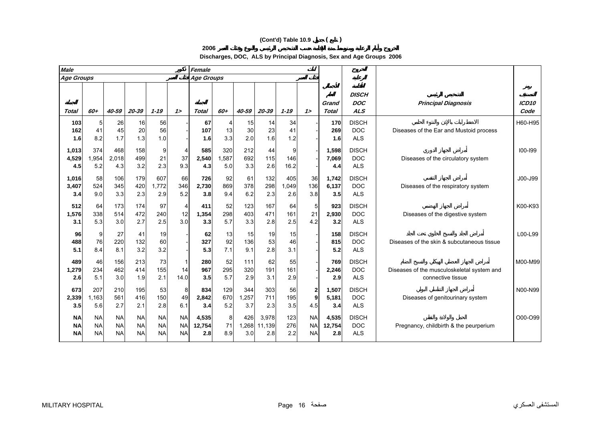# **(Cont'd) Table 10.9 ( )**

**Discharges, DOC, ALS by Principal Diagnosis, Sex and Age Groups 2006**

| <b>Male</b>                         |                                     |                                     |                                     |                                     |                                     | Female                 |                             |                     |                        |                     |                                     |                        |                                          |                                                                 |                           |
|-------------------------------------|-------------------------------------|-------------------------------------|-------------------------------------|-------------------------------------|-------------------------------------|------------------------|-----------------------------|---------------------|------------------------|---------------------|-------------------------------------|------------------------|------------------------------------------|-----------------------------------------------------------------|---------------------------|
| Age Groups                          |                                     |                                     |                                     |                                     |                                     | <b>Age Groups</b>      |                             |                     |                        |                     |                                     |                        |                                          |                                                                 |                           |
| <b>Total</b>                        | 60+                                 | $40 - 59$                           | 20-39                               | $1 - 19$                            | 12                                  | Total                  | 60+                         | 40-59               | 20-39                  | $1 - 19$            | 12                                  | Grand<br><b>Total</b>  | <b>DISCH</b><br><b>DOC</b><br><b>ALS</b> | <b>Principal Diagnosis</b>                                      | ICD <sub>10</sub><br>Code |
| 103<br>162<br>1.6                   | 5<br>41<br>8.2                      | 26<br>45<br>1.7                     | 16<br>20<br>1.3                     | 56<br>56<br>1.0                     |                                     | 67<br>107<br>1.6       | $\overline{4}$<br>13<br>3.3 | 15<br>30<br>2.0     | 14<br>23<br>1.6        | 34<br>41<br>1.2     |                                     | 170<br>269<br>1.6      | <b>DISCH</b><br><b>DOC</b><br><b>ALS</b> | Diseases of the Ear and Mustoid process                         | H60-H95                   |
| 1,013<br>4,529<br>4.5               | 374<br>1,954<br>5.2                 | 468<br>2,018<br>4.3                 | 158<br>499<br>3.2                   | 9<br>21<br>2.3                      | 4<br>37<br>9.3                      | 585<br>2,540<br>4.3    | 320<br>,587<br>5.0          | 212<br>692<br>3.3   | 44<br>115<br>2.6       | 9<br>146<br>16.2    |                                     | 1,598<br>7,069<br>4.4  | <b>DISCH</b><br><b>DOC</b><br><b>ALS</b> | Diseases of the circulatory system                              | $100 - 199$               |
| 1,016<br>3,407<br>3.4               | 58<br>524<br>9.0                    | 106<br>345<br>3.3                   | 179<br>420<br>2.3                   | 607<br>1,772<br>2.9                 | 66<br>346<br>5.2                    | 726<br>2,730<br>3.8    | 92<br>869<br>9.4            | 61<br>378<br>6.2    | 132<br>298<br>2.3      | 405<br>1,049<br>2.6 | 36<br>136<br>3.8                    | 1,742<br>6,137<br>3.5  | <b>DISCH</b><br><b>DOC</b><br><b>ALS</b> | Diseases of the respiratory system                              | $J00 - J99$               |
| 512<br>1,576<br>3.1                 | 64<br>338<br>5.3                    | 173<br>514<br>3.0                   | 174<br>472<br>2.7                   | 97<br>240<br>2.5                    | 4<br>12<br>3.0                      | 411<br>1,354<br>3.3    | 52<br>298<br>5.7            | 123<br>403<br>3.3   | 167<br>471<br>2.8      | 64<br>161<br>2.5    | 5<br>21<br>4.2                      | 923<br>2,930<br>3.2    | <b>DISCH</b><br><b>DOC</b><br><b>ALS</b> | Diseases of the digestive system                                | K00-K93                   |
| 96<br>488<br>5.1                    | 9<br>76<br>8.4                      | 27<br>220<br>8.1                    | 41<br>132<br>3.2                    | 19<br>60<br>3.2                     |                                     | 62<br>327<br>5.3       | 13<br>92<br>7.1             | 15<br>136<br>9.1    | 19<br>53<br>2.8        | 15<br>46<br>3.1     |                                     | 158<br>815<br>5.2      | <b>DISCH</b><br><b>DOC</b><br><b>ALS</b> | Diseases of the skin & subcutaneous tissue                      | L00-L99                   |
| 489<br>1,279<br>2.6                 | 46<br>234<br>5.1                    | 156<br>462<br>3.0                   | 213<br>414<br>1.9                   | 73<br>155<br>2.1                    | 14<br>14.0                          | 280<br>967<br>3.5      | 52<br>295<br>5.7            | 111<br>320<br>2.9   | 62<br>191<br>3.1       | 55<br>161<br>2.9    |                                     | 769<br>2,246<br>2.9    | <b>DISCH</b><br><b>DOC</b><br><b>ALS</b> | Diseases of the musculoskeletal system and<br>connective tissue | M00-M99                   |
| 673<br>2,339<br>3.5                 | 207<br>1,163<br>5.6                 | 210<br>561<br>2.7                   | 195<br>416<br>2.1                   | 53<br>150<br>2.8                    | 8<br>49<br>6.1                      | 834<br>2,842<br>3.4    | 129<br>670<br>5.2           | 344<br>1,257<br>3.7 | 303<br>711<br>2.3      | 56<br>195<br>3.5    | 2<br>9<br>4.5                       | 1,507<br>5,181<br>3.4  | <b>DISCH</b><br><b>DOC</b><br><b>ALS</b> | Diseases of genitourinary system                                | N00-N99                   |
| <b>NA</b><br><b>NA</b><br><b>NA</b> | <b>NA</b><br><b>NA</b><br><b>NA</b> | <b>NA</b><br><b>NA</b><br><b>NA</b> | <b>NA</b><br><b>NA</b><br><b>NA</b> | <b>NA</b><br><b>NA</b><br><b>NA</b> | <b>NA</b><br><b>NA</b><br><b>NA</b> | 4,535<br>12,754<br>2.8 | 8<br>71<br>8.9              | 426<br>.268<br>3.0  | 3.978<br>11,139<br>2.8 | 123<br>276<br>2.2   | <b>NA</b><br><b>NA</b><br><b>NA</b> | 4,535<br>12,754<br>2.8 | <b>DISCH</b><br><b>DOC</b><br><b>ALS</b> | Pregnancy, childbirth & the peurperium                          | O00-O99                   |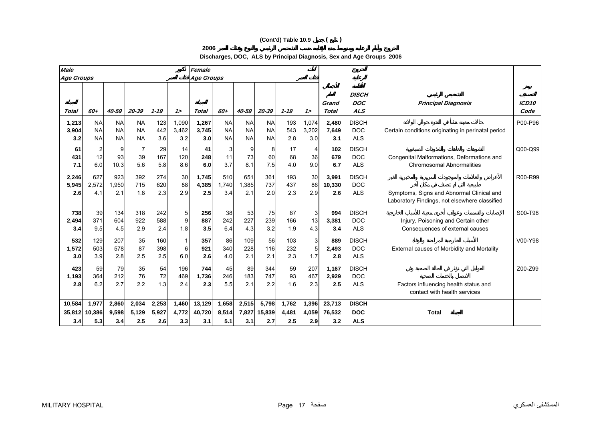## **(Cont'd) Table 10.9 ( )**

**Discharges, DOC, ALS by Principal Diagnosis, Sex and Age Groups 2006**

| <b>Male</b>             |                                     |                                     |                                     |                       |                       | Female                  |                                     |                                     |                                     |                       |                       |                         |                                          |                                                                                            |                           |
|-------------------------|-------------------------------------|-------------------------------------|-------------------------------------|-----------------------|-----------------------|-------------------------|-------------------------------------|-------------------------------------|-------------------------------------|-----------------------|-----------------------|-------------------------|------------------------------------------|--------------------------------------------------------------------------------------------|---------------------------|
| <b>Age Groups</b>       |                                     |                                     |                                     |                       |                       | <b>Age Groups</b>       |                                     |                                     |                                     |                       |                       |                         |                                          |                                                                                            |                           |
| Total                   | 60+                                 | 40-59                               | 20-39                               | $1 - 19$              | $1\geq$               | <b>Total</b>            | 60+                                 | 40-59                               | 20-39                               | $1 - 19$              | 12                    | Grand<br><b>Total</b>   | <b>DISCH</b><br><b>DOC</b><br><b>ALS</b> | <b>Principal Diagnosis</b>                                                                 | ICD <sub>10</sub><br>Code |
| 1,213<br>3,904<br>3.2   | <b>NA</b><br><b>NA</b><br><b>NA</b> | <b>NA</b><br><b>NA</b><br><b>NA</b> | <b>NA</b><br><b>NA</b><br><b>NA</b> | 123<br>442<br>3.6     | 1,090<br>3,462<br>3.2 | 1,267<br>3,745<br>3.0   | <b>NA</b><br><b>NA</b><br><b>NA</b> | <b>NA</b><br><b>NA</b><br><b>NA</b> | <b>NA</b><br><b>NA</b><br><b>NA</b> | 193<br>543<br>2.8     | 1,074<br>3,202<br>3.0 | 2,480<br>7,649<br>3.1   | <b>DISCH</b><br><b>DOC</b><br><b>ALS</b> | Certain conditions originating in perinatal period                                         | P00-P96                   |
| 61<br>431<br>7.1        | 2<br>12<br>6.0                      | 9<br>93<br>10.3                     | $\overline{7}$<br>39<br>5.6         | 29<br>167<br>5.8      | 14<br>120<br>8.6      | 41<br>248<br>6.0        | 3<br>11<br>3.7                      | 9<br>73<br>8.1                      | 8<br>60<br>7.5                      | 17<br>68<br>4.0       | 4<br>36<br>9.0        | 102<br>679<br>6.7       | <b>DISCH</b><br><b>DOC</b><br><b>ALS</b> | Congenital Malformations, Deformations and<br><b>Chromosomal Abnormalities</b>             | Q00-Q99                   |
| 2,246<br>5,945<br>2.6   | 627<br>2,572<br>4.1                 | 923<br>.950<br>2.1                  | 392<br>715<br>1.8                   | 274<br>620<br>2.3     | 30<br>88<br>2.9       | 1,745<br>4,385<br>2.5   | 510<br>1.740<br>3.4                 | 651<br>1.385<br>2.1                 | 361<br>737<br>2.0                   | 193<br>437<br>2.3     | 30<br>86<br>2.9       | 3,991<br>10,330<br>2.6  | <b>DISCH</b><br><b>DOC</b><br><b>ALS</b> | Symptoms, Signs and Abnormal Clinical and<br>Laboratory Findings, not elsewhere classified | R00-R99                   |
| 738<br>2,494<br>3.4     | 39<br>371<br>9.5                    | 134<br>604<br>4.5                   | 318<br>922<br>2.9                   | 242<br>588<br>2.4     | 5<br>9<br>1.8         | 256<br>887<br>3.5       | 38<br>242<br>6.4                    | 53<br>227<br>4.3                    | 75<br>239<br>3.2                    | 87<br>166<br>1.9      | 3<br>13<br>4.3        | 994<br>3,381<br>3.4     | <b>DISCH</b><br><b>DOC</b><br><b>ALS</b> | Injury, Poisoning and Certain other<br>Consequences of external causes                     | S00-T98                   |
| 532<br>1,572<br>3.0     | 129<br>503<br>3.9                   | 207<br>578<br>2.8                   | 35<br>87<br>2.5                     | 160<br>398<br>2.5     | 6.0                   | 357<br>921<br>2.6       | 86<br>340<br>4.0                    | 109<br>228<br>2.1                   | 56<br>116<br>2.1                    | 103<br>232<br>2.3     | 3<br>5<br>1.7         | 889<br>2,493<br>2.8     | <b>DISCH</b><br><b>DOC</b><br><b>ALS</b> | External causes of Morbidity and Mortality                                                 | V00-Y98                   |
| 423<br>1,193<br>2.8     | 59<br>364<br>6.2                    | 79<br>212<br>2.7                    | 35<br>76<br>2.2                     | 54<br>72<br>1.3       | 196<br>469<br>2.4     | 744<br>1,736<br>2.3     | 45<br>246<br>5.5                    | 89<br>183<br>2.1                    | 344<br>747<br>2.2                   | 59<br>93<br>1.6       | 207<br>467<br>2.3     | 1,167<br>2,929<br>2.5   | <b>DISCH</b><br><b>DOC</b><br><b>ALS</b> | Factors influencing health status and<br>contact with health services                      | Z00-Z99                   |
| 10,584<br>35,812<br>3.4 | 1,977<br>10,386<br>5.3              | 2,860<br>9,598<br>3.4               | 2,034<br>5,129<br>2.5               | 2,253<br>5,927<br>2.6 | 1,460<br>4.772<br>3.3 | 13,129<br>40,720<br>3.1 | 1,658<br>8,514<br>5.1               | 2,515<br>7,827<br>3.1               | 5,798<br>15,839<br>2.7              | 1,762<br>4,481<br>2.5 | 1,396<br>4,059<br>2.9 | 23,713<br>76,532<br>3.2 | <b>DISCH</b><br><b>DOC</b><br><b>ALS</b> | <b>Total</b>                                                                               |                           |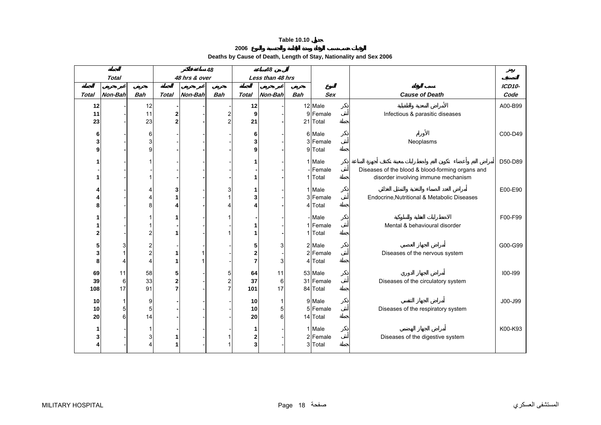**Deaths by Cause of Death, Length of Stay, Nationality and Sex 2006** 

<span id="page-16-0"></span>

|              |              |                     |              |               | 48                      |                                           | 48               |            |                    |                                                  |             |
|--------------|--------------|---------------------|--------------|---------------|-------------------------|-------------------------------------------|------------------|------------|--------------------|--------------------------------------------------|-------------|
|              | <b>Total</b> |                     |              | 48 hrs & over |                         |                                           | Less than 48 hrs |            |                    |                                                  |             |
|              |              |                     |              |               |                         |                                           |                  |            |                    |                                                  | ICD10-      |
| <b>Total</b> | Non-Bah      | <b>Bah</b>          | <b>Total</b> | Non-Bah       | <b>Bah</b>              | <b>Total</b>                              | <b>Non-Bah</b>   | <b>Bah</b> | <b>Sex</b>         | <b>Cause of Death</b>                            | Code        |
| 12           |              | 12                  |              |               |                         | 12                                        |                  |            | 12 Male            |                                                  | A00-B99     |
| 11           |              | 11                  | 2            |               | 2                       | 9                                         |                  |            | 9 Female           | Infectious & parasitic diseases                  |             |
| 23           |              | 23                  |              |               | $\overline{2}$          | 21                                        |                  |            | 21 Total           |                                                  |             |
| 6            |              | 6                   |              |               |                         | 6                                         |                  |            | 6 Male             |                                                  | C00-D49     |
|              |              | 3                   |              |               |                         | 3                                         |                  |            | 3 Female           | Neoplasms                                        |             |
|              |              | 9                   |              |               |                         | 9                                         |                  |            | 9 Total            |                                                  |             |
|              |              |                     |              |               |                         |                                           |                  |            |                    |                                                  |             |
|              |              |                     |              |               |                         |                                           |                  |            | 1 Male             |                                                  | D50-D89     |
|              |              |                     |              |               |                         |                                           |                  |            | - Female           | Diseases of the blood & blood-forming organs and |             |
|              |              |                     |              |               |                         |                                           |                  | 1          | Total              | disorder involving immune mechanism              |             |
|              |              | 4                   |              |               | 3                       |                                           |                  |            | 1 Male             |                                                  | E00-E90     |
|              |              | 4                   |              |               |                         | 3                                         |                  |            | 3 Female           | Endocrine, Nutritional & Metabolic Diseases      |             |
|              |              | 8                   |              |               |                         |                                           |                  | 4          | Total              |                                                  |             |
|              |              |                     |              |               |                         |                                           |                  |            | - Male             |                                                  | F00-F99     |
|              |              |                     |              |               |                         |                                           |                  |            | 1 Female           | Mental & behavioural disorder                    |             |
|              |              | $\overline{2}$      |              |               |                         |                                           |                  |            | Total              |                                                  |             |
|              |              |                     |              |               |                         |                                           |                  |            |                    |                                                  |             |
|              | 3            | 2                   |              |               |                         | 5                                         | $\overline{3}$   |            | 2 Male<br>2 Female |                                                  | G00-G99     |
|              | 4            | 2<br>$\overline{4}$ |              |               |                         | $\overline{\mathbf{c}}$<br>$\overline{7}$ | 3                |            | 4 Total            | Diseases of the nervous system                   |             |
|              |              |                     |              |               |                         |                                           |                  |            |                    |                                                  |             |
| 69           | 11           | 58                  | 5            |               | 5                       | 64                                        | 11               |            | 53 Male            |                                                  | $100 - 199$ |
| 39           | 6            | 33                  | $\mathbf{2}$ |               | $\overline{\mathbf{c}}$ | 37                                        | 6                |            | 31 Female          | Diseases of the circulatory system               |             |
| 108          | 17           | 91                  |              |               | $\overline{7}$          | 101                                       | 17               |            | 84 Total           |                                                  |             |
| 10           | 1            | 9                   |              |               |                         | 10                                        | $\mathbf{1}$     |            | 9 Male             |                                                  | J00-J99     |
| 10           | 5            | 5                   |              |               |                         | 10                                        | 5                |            | 5 Female           | Diseases of the respiratory system               |             |
| 20           | 6            | 14                  |              |               |                         | 20                                        | 6                |            | 14 Total           |                                                  |             |
|              |              |                     |              |               |                         | 1                                         |                  |            | 1 Male             |                                                  | K00-K93     |
|              |              | 3                   |              |               |                         | $\mathbf{2}$                              |                  |            | 2 Female           | Diseases of the digestive system                 |             |
|              |              | 4                   |              |               |                         | 3                                         |                  | 3          | Total              |                                                  |             |
|              |              |                     |              |               |                         |                                           |                  |            |                    |                                                  |             |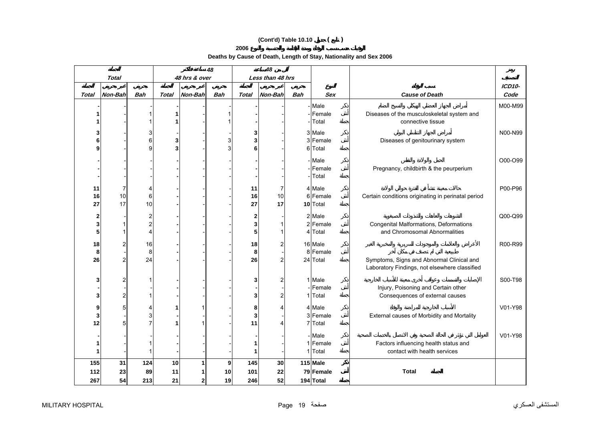# **(Cont'd) Table 10.10 ( )**

**Deaths by Cause of Death, Length of Stay, Nationality and Sex 2006** 

|                |                         |                |              |               | 48         |       | 48               |            |            |                                                    |                |
|----------------|-------------------------|----------------|--------------|---------------|------------|-------|------------------|------------|------------|----------------------------------------------------|----------------|
|                | <b>Total</b>            |                |              | 48 hrs & over |            |       | Less than 48 hrs |            |            |                                                    |                |
| Total          | Non-Bah                 | <b>Bah</b>     | <b>Total</b> | Non-Bah       | <b>Bah</b> | Total | Non-Bah          | <b>Bah</b> | <b>Sex</b> | <b>Cause of Death</b>                              | ICD10-<br>Code |
|                |                         |                |              |               |            |       |                  |            | Male       |                                                    | M00-M99        |
|                |                         |                |              |               |            |       |                  |            | Female     | Diseases of the musculoskeletal system and         |                |
|                |                         |                |              |               |            |       |                  |            | Total      | connective tissue                                  |                |
|                |                         | 3              |              |               |            | 3     |                  |            | 3 Male     |                                                    | N00-N99        |
|                |                         | 6              | 3            |               |            | 3     |                  |            | 3 Female   | Diseases of genitourinary system                   |                |
|                |                         | q              |              |               |            | 6     |                  |            | 6 Total    |                                                    |                |
|                |                         |                |              |               |            |       |                  |            | Male       |                                                    | O00-O99        |
|                |                         |                |              |               |            |       |                  |            | Female     | Pregnancy, childbirth & the peurperium             |                |
|                |                         |                |              |               |            |       |                  |            | Total      |                                                    |                |
| 11             | 7                       |                |              |               |            | 11    | 7                |            | 4 Male     |                                                    | P00-P96        |
| 16             | 10                      | 6              |              |               |            | 16    | 10               |            | 6 Female   | Certain conditions originating in perinatal period |                |
| 27             | 17                      | 10             |              |               |            | 27    | 17               |            | 10 Total   |                                                    |                |
| $\overline{2}$ |                         | 2              |              |               |            | 2     |                  |            | 2 Male     |                                                    | Q00-Q99        |
| 3              | 1                       | 2              |              |               |            | 3     |                  |            | 2 Female   | Congenital Malformations, Deformations             |                |
| 5              | $\mathbf{1}$            | $\overline{4}$ |              |               |            | 5     |                  |            | 4 Total    | and Chromosomal Abnormalities                      |                |
| 18             | $\overline{\mathbf{c}}$ | 16             |              |               |            | 18    | 2                |            | 16 Male    |                                                    | R00-R99        |
| 8              |                         | 8              |              |               |            | 8     |                  |            | 8 Female   |                                                    |                |
| 26             | $\overline{c}$          | 24             |              |               |            | 26    | 2                |            | 24 Total   | Symptoms, Signs and Abnormal Clinical and          |                |
|                |                         |                |              |               |            |       |                  |            |            | Laboratory Findings, not elsewhere classified      |                |
| 3              | $\overline{c}$          |                |              |               |            | 3     | 2                |            | 1 Male     |                                                    | S00-T98        |
|                |                         |                |              |               |            |       |                  |            | Female     | Injury, Poisoning and Certain other                |                |
|                | $\overline{\mathbf{c}}$ |                |              |               |            | 3     | 2                |            | 1 Total    | Consequences of external causes                    |                |
| 9              | 5                       |                |              |               |            | 8     |                  |            | 4 Male     |                                                    | V01-Y98        |
| 3              |                         | 3              |              |               |            | 3     |                  |            | 3 Female   | External causes of Morbidity and Mortality         |                |
| 12             | 5                       |                |              |               |            | 11    |                  |            | 7 Total    |                                                    |                |
|                |                         |                |              |               |            |       |                  |            | Male       |                                                    | V01-Y98        |
|                |                         |                |              |               |            | 1     |                  |            | 1 Female   | Factors influencing health status and              |                |
|                |                         |                |              |               |            | 1     |                  |            | 1 Total    | contact with health services                       |                |
| 155            | 31                      | 124            | 10           |               | 9          | 145   | 30               |            | $115$ Male |                                                    |                |
| 112            | 23                      | 89             | 11           |               | 10         | 101   | 22               |            | 79 Female  | <b>Total</b>                                       |                |
| 267            | 54                      | 213            | 21           | $\mathbf{2}$  | 19         | 246   | 52               |            | 194 Total  |                                                    |                |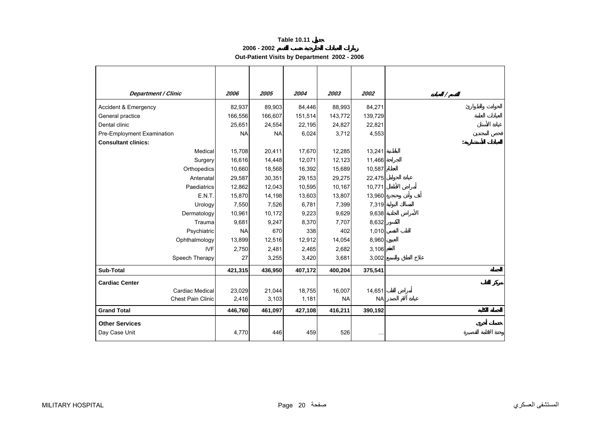**2006 - 2002**

**Out-Patient Visits by Department 2002 - 2006** 

<span id="page-18-0"></span>

| <b>Department / Clinic</b>             | 2006      | 2005      | 2004    | 2003      | 2002      | $\prime$       |
|----------------------------------------|-----------|-----------|---------|-----------|-----------|----------------|
| Accident & Emergency                   | 82,937    | 89,903    | 84,446  | 88,993    | 84,271    |                |
| General practice                       | 166,556   | 166,607   | 151,514 | 143,772   | 139,729   |                |
| Dental clinic                          | 25,651    | 24,554    | 22,195  | 24,827    | 22,821    |                |
| Pre-Employment Examination             | <b>NA</b> | <b>NA</b> | 6,024   | 3,712     | 4,553     |                |
| <b>Consultant clinics:</b>             |           |           |         |           |           | $\ddot{\cdot}$ |
| Medical                                | 15,708    | 20,411    | 17,670  | 12,285    | 13,241    |                |
| Surgery                                | 16,616    | 14,448    | 12,071  | 12,123    | 11,466    |                |
| Orthopedics                            | 10,660    | 18,568    | 16,392  | 15,689    | 10,587    |                |
| Antenatal                              | 29,587    | 30,351    | 29,153  | 29,275    | 22,475    |                |
| Paediatrics                            | 12,862    | 12,043    | 10,595  | 10,167    | 10,771    |                |
| E.N.T.                                 | 15,870    | 14,198    | 13,603  | 13,807    | 13,960    |                |
| Urology                                | 7,550     | 7,526     | 6,781   | 7,399     | 7,319     |                |
| Dermatology                            | 10,961    | 10,172    | 9,223   | 9,629     | 9,638     |                |
| Traumal                                | 9,681     | 9,247     | 8,370   | 7,707     | 8,632     |                |
| Psychiatric                            | <b>NA</b> | 670       | 338     | 402       | 1,010     |                |
| Ophthalmology                          | 13,899    | 12,516    | 12,912  | 14,054    | 8,960     |                |
| <b>IVF</b>                             | 2,750     | 2,481     | 2,465   | 2,682     | 3,106     |                |
| Speech Therapy                         | 27        | 3,255     | 3,420   | 3,681     | 3,002     |                |
| Sub-Total                              | 421,315   | 436,950   | 407,172 | 400,204   | 375,541   |                |
| <b>Cardiac Center</b>                  |           |           |         |           |           |                |
| Cardiac Medical                        | 23,029    | 21,044    | 18,755  | 16,007    | 14,651    |                |
| Chest Pain Clinic                      | 2,416     | 3,103     | 1,181   | <b>NA</b> | <b>NA</b> |                |
| <b>Grand Total</b>                     | 446,760   | 461,097   | 427,108 | 416,211   | 390,192   |                |
| <b>Other Services</b><br>Day Case Unit | 4,770     | 446       | 459     | 526       | $\cdots$  |                |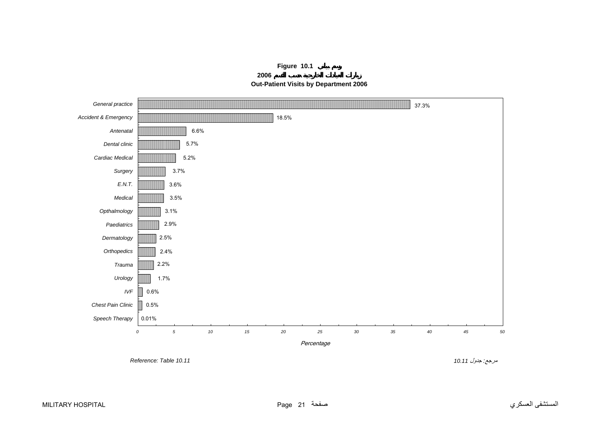# **Figure 10.1**

**2006 Out-Patient Visits by Department 2006**

<span id="page-19-0"></span>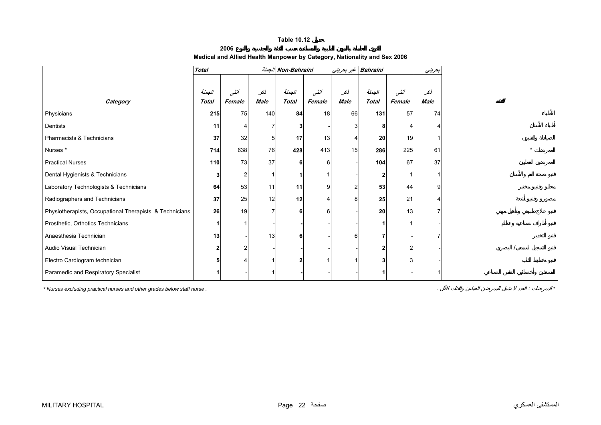**2006Medical and Allied Health Manpower by Category, Nationality and Sex 2006**

<span id="page-20-0"></span>

|                                                         | <b>Total</b> |                |             | Non-Bahraini |        |      | Bahraini غير بحريني |        | بحريني      |  |
|---------------------------------------------------------|--------------|----------------|-------------|--------------|--------|------|---------------------|--------|-------------|--|
|                                                         |              |                |             |              |        |      |                     |        |             |  |
|                                                         | الجملة       | أنشى           | نكر         | الجملة       | أنشى   | نكر  | الجملة              | أننسى  | نكر         |  |
| Category                                                | <b>Total</b> | Female         | <b>Male</b> | <b>Total</b> | Female | Male | <b>Total</b>        | Female | <b>Male</b> |  |
| Physicians                                              | 215          | 75             | 140         | 84           | 18     | 66   | 131                 | 57     | 74          |  |
| Dentists                                                | 11           |                |             |              |        |      | 8                   |        |             |  |
| Pharmacists & Technicians                               | 37           | 32             | 5           | 17           | 13     |      | 20                  | 19     |             |  |
| Nurses *                                                | 714          | 638            | 76          | 428          | 413    | 15   | 286                 | 225    | 61          |  |
| <b>Practical Nurses</b>                                 | 110          | 73             | 37          | 6            |        |      | 104                 | 67     | 37          |  |
| Dental Hygienists & Technicians                         |              | $\overline{2}$ |             |              |        |      |                     |        |             |  |
| Laboratory Technologists & Technicians                  | 64           | 53             | 11          | 11           |        |      | 53                  | 44     |             |  |
| Radiographers and Technicians                           | 37           | 25             | 12          | 12           |        |      | 25                  | 21     |             |  |
| Physiotherapists, Occupational Therapists & Technicians | 26           | 19             |             | 6            |        |      | 20                  | 13     |             |  |
| Prosthetic, Orthotics Technicians                       |              |                |             |              |        |      |                     |        |             |  |
| Anaesthesia Technician                                  | 13           |                | 13          | 6            |        |      |                     |        |             |  |
| Audio Visual Technician                                 |              |                |             |              |        |      |                     |        |             |  |
| Electro Cardiogram technician                           |              |                |             |              |        |      |                     |        |             |  |
| Paramedic and Respiratory Specialist                    |              |                |             |              |        |      |                     |        |             |  |

*\* Nurses excluding practical nurses and other grades below staff nurse .* . : *\**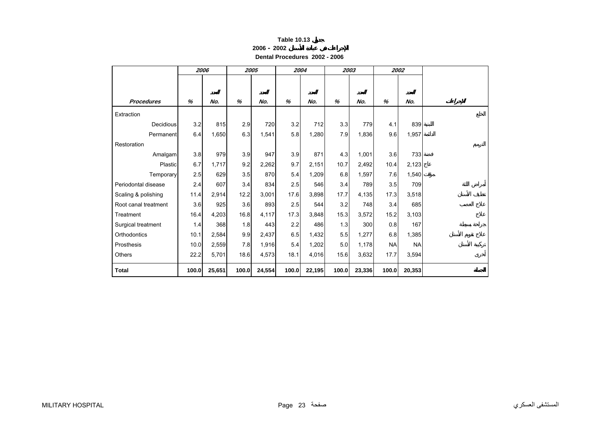| <b>Table 10.13</b> |
|--------------------|
|--------------------|

**2006 - 2002**

**Dental Procedures 2002 - 2006** 

<span id="page-21-0"></span>

|                      | 2006  |        | 2005  |        |       | 2004   |       | 2003   |           | 2002      |  |
|----------------------|-------|--------|-------|--------|-------|--------|-------|--------|-----------|-----------|--|
|                      |       |        |       |        |       |        |       |        |           |           |  |
|                      |       |        |       |        |       |        |       |        |           |           |  |
| <b>Procedures</b>    | %     | No.    | %     | No.    | %     | No.    | %     | No.    | %         | No.       |  |
| Extraction           |       |        |       |        |       |        |       |        |           |           |  |
| <b>Decidious</b>     | 3.2   | 815    | 2.9   | 720    | 3.2   | 712    | 3.3   | 779    | 4.1       | 839       |  |
| Permanent            | 6.4   | 1,650  | 6.3   | 1,541  | 5.8   | 1,280  | 7.9   | 1,836  | 9.6       | 1,957     |  |
| Restoration          |       |        |       |        |       |        |       |        |           |           |  |
| Amalgam              | 3.8   | 979    | 3.9   | 947    | 3.9   | 871    | 4.3   | 1,001  | 3.6       | 733       |  |
| Plastic              | 6.7   | 1,717  | 9.2   | 2,262  | 9.7   | 2,151  | 10.7  | 2,492  | 10.4      | 2,123     |  |
| Temporary            | 2.5   | 629    | 3.5   | 870    | 5.4   | 1,209  | 6.8   | 1,597  | 7.6       | 1,540     |  |
| Periodontal disease  | 2.4   | 607    | 3.4   | 834    | 2.5   | 546    | 3.4   | 789    | 3.5       | 709       |  |
| Scaling & polishing  | 11.4  | 2,914  | 12.2  | 3,001  | 17.6  | 3,898  | 17.7  | 4,135  | 17.3      | 3,518     |  |
| Root canal treatment | 3.6   | 925    | 3.6   | 893    | 2.5   | 544    | 3.2   | 748    | 3.4       | 685       |  |
| Treatment            | 16.4  | 4,203  | 16.8  | 4,117  | 17.3  | 3,848  | 15.3  | 3,572  | 15.2      | 3,103     |  |
| Surgical treatment   | 1.4   | 368    | 1.8   | 443    | 2.2   | 486    | 1.3   | 300    | 0.8       | 167       |  |
| Orthodontics         | 10.1  | 2,584  | 9.9   | 2,437  | 6.5   | 1,432  | 5.5   | 1,277  | 6.8       | 1,385     |  |
| Prosthesis           | 10.0  | 2,559  | 7.8   | 1,916  | 5.4   | 1,202  | 5.0   | 1,178  | <b>NA</b> | <b>NA</b> |  |
| Others               | 22.2  | 5,701  | 18.6  | 4,573  | 18.1  | 4,016  | 15.6  | 3,632  | 17.7      | 3,594     |  |
| <b>Total</b>         | 100.0 | 25,651 | 100.0 | 24,554 | 100.0 | 22,195 | 100.0 | 23,336 | 100.0     | 20,353    |  |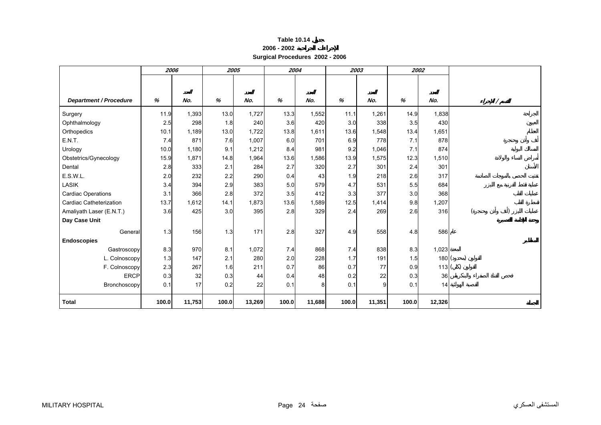| Table 10.14 |  |
|-------------|--|
|-------------|--|

| 2006 - 2002 |  |
|-------------|--|
|             |  |

**Surgical Procedures 2002 - 2006** 

<span id="page-22-0"></span>

|                               | 2006  |        |       | 2005   |       | 2004   |       | 2003   | 2002  |        |  |
|-------------------------------|-------|--------|-------|--------|-------|--------|-------|--------|-------|--------|--|
|                               |       |        |       |        |       |        |       |        |       |        |  |
|                               |       |        |       |        |       |        |       |        |       |        |  |
| <b>Department / Procedure</b> | %     | No.    | %     | No.    | %     | No.    | %     | No.    | %     | No.    |  |
| Surgery                       | 11.9  | 1,393  | 13.0  | 1,727  | 13.3  | 1,552  | 11.1  | 1,261  | 14.9  | 1,838  |  |
| Ophthalmology                 | 2.5   | 298    | 1.8   | 240    | 3.6   | 420    | 3.0   | 338    | 3.5   | 430    |  |
| Orthopedics                   | 10.1  | 1,189  | 13.0  | 1,722  | 13.8  | 1,611  | 13.6  | 1,548  | 13.4  | 1,651  |  |
| E.N.T.                        | 7.4   | 871    | 7.6   | 1,007  | 6.0   | 701    | 6.9   | 778    | 7.1   | 878    |  |
| Urology                       | 10.0  | 1,180  | 9.1   | 1,212  | 8.4   | 981    | 9.2   | 1,046  | 7.1   | 874    |  |
| Obstetrics/Gynecology         | 15.9  | 1,871  | 14.8  | 1,964  | 13.6  | 1,586  | 13.9  | 1,575  | 12.3  | 1,510  |  |
| Dental                        | 2.8   | 333    | 2.1   | 284    | 2.7   | 320    | 2.7   | 301    | 2.4   | 301    |  |
| E.S.W.L.                      | 2.0   | 232    | 2.2   | 290    | 0.4   | 43     | 1.9   | 218    | 2.6   | 317    |  |
| <b>LASIK</b>                  | 3.4   | 394    | 2.9   | 383    | 5.0   | 579    | 4.7   | 531    | 5.5   | 684    |  |
| <b>Cardiac Operations</b>     | 3.1   | 366    | 2.8   | 372    | 3.5   | 412    | 3.3   | 377    | 3.0   | 368    |  |
| Cardiac Catheterization       | 13.7  | 1.612  | 14.1  | 1,873  | 13.6  | 1,589  | 12.5  | 1,414  | 9.8   | 1,207  |  |
| Amaliyath Laser (E.N.T.)      | 3.6   | 425    | 3.0   | 395    | 2.8   | 329    | 2.4   | 269    | 2.6   | 316    |  |
| Day Case Unit                 |       |        |       |        |       |        |       |        |       |        |  |
| General                       | 1.3   | 156    | 1.3   | 171    | 2.8   | 327    | 4.9   | 558    | 4.8   | 586    |  |
| <b>Endoscopies</b>            |       |        |       |        |       |        |       |        |       |        |  |
| Gastroscopy                   | 8.3   | 970    | 8.1   | 1,072  | 7.4   | 868    | 7.4   | 838    | 8.3   | 1,023  |  |
| L. Colnoscopy                 | 1.3   | 147    | 2.1   | 280    | 2.0   | 228    | 1.7   | 191    | 1.5   | 180(   |  |
| F. Colnoscopy                 | 2.3   | 267    | 1.6   | 211    | 0.7   | 86     | 0.7   | 77     | 0.9   | 113(   |  |
| <b>ERCP</b>                   | 0.3   | 32     | 0.3   | 44     | 0.4   | 48     | 0.2   | 22     | 0.3   | 36     |  |
| Bronchoscopy                  | 0.1   | 17     | 0.2   | 22     | 0.1   | 8      | 0.1   | 9      | 0.1   | 14     |  |
| <b>Total</b>                  | 100.0 | 11,753 | 100.0 | 13,269 | 100.0 | 11,688 | 100.0 | 11,351 | 100.0 | 12,326 |  |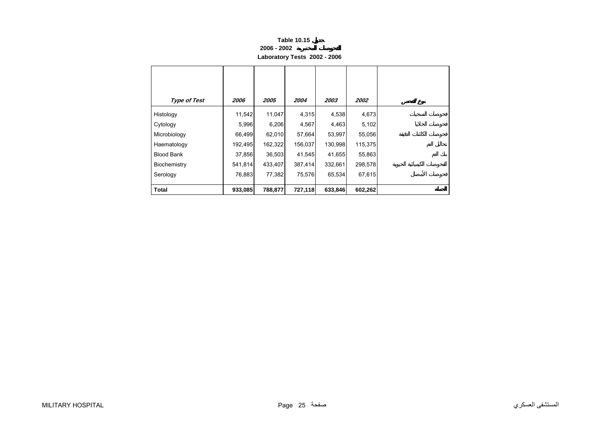#### **Table 10.15 2006 - 2002 Laboratory Tests 2002 - 2006**

<span id="page-23-0"></span>

| <b>Type of Test</b> | 2006    | 2005    | 2004    | 2003    | 2002    |
|---------------------|---------|---------|---------|---------|---------|
| Histology           | 11,542  | 11,047  | 4,315   | 4,538   | 4,673   |
| Cytology            | 5,996   | 6,206   | 4,567   | 4,463   | 5,102   |
| Microbiology        | 66,499  | 62,010  | 57,664  | 53,997  | 55,056  |
| Haematology         | 192,495 | 162,322 | 156,037 | 130,998 | 115,375 |
| <b>Blood Bank</b>   | 37,856  | 36,503  | 41,545  | 41,655  | 55,863  |
| Biochemistry        | 541,814 | 433,407 | 387,414 | 332,661 | 298,578 |
| Serology            | 76,883  | 77,382  | 75,576  | 65,534  | 67,615  |
| <b>Total</b>        | 933,085 | 788,877 | 727,118 | 633,846 | 602,262 |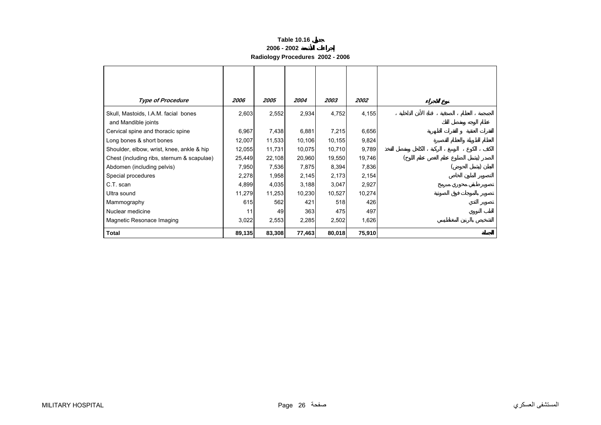### **Table 10.16 2006 - 2002 Radiology Procedures 2002 - 2006**

<span id="page-24-0"></span>

| <b>Type of Procedure</b>                                    | 2006   | 2005   | 2004   | 2003   | 2002   |  |  |
|-------------------------------------------------------------|--------|--------|--------|--------|--------|--|--|
| Skull, Mastoids, I.A.M. facial bones<br>and Mandible joints | 2,603  | 2,552  | 2,934  | 4,752  | 4,155  |  |  |
| Cervical spine and thoracic spine                           | 6,967  | 7,438  | 6,881  | 7,215  | 6,656  |  |  |
| Long bones & short bones                                    | 12,007 | 11,533 | 10,106 | 10,155 | 9,824  |  |  |
| Shoulder, elbow, wrist, knee, ankle & hip                   | 12,055 | 11,731 | 10,075 | 10,710 | 9,789  |  |  |
| Chest (including ribs, sternum & scapulae)                  | 25,449 | 22,108 | 20,960 | 19,550 | 19,746 |  |  |
| Abdomen (including pelvis)                                  | 7,950  | 7,536  | 7,875  | 8,394  | 7,836  |  |  |
| Special procedures                                          | 2,278  | 1,958  | 2,145  | 2,173  | 2,154  |  |  |
| C.T. scan                                                   | 4,899  | 4,035  | 3,188  | 3,047  | 2,927  |  |  |
| Ultra sound                                                 | 11,279 | 11,253 | 10,230 | 10,527 | 10,274 |  |  |
| Mammography                                                 | 615    | 562    | 421    | 518    | 426    |  |  |
| Nuclear medicine                                            | 11     | 49     | 363    | 475    | 497    |  |  |
| Magnetic Resonace Imaging                                   | 3,022  | 2,553  | 2,285  | 2,502  | 1,626  |  |  |
| <b>Total</b>                                                | 89,135 | 83,308 | 77,463 | 80,018 | 75,910 |  |  |